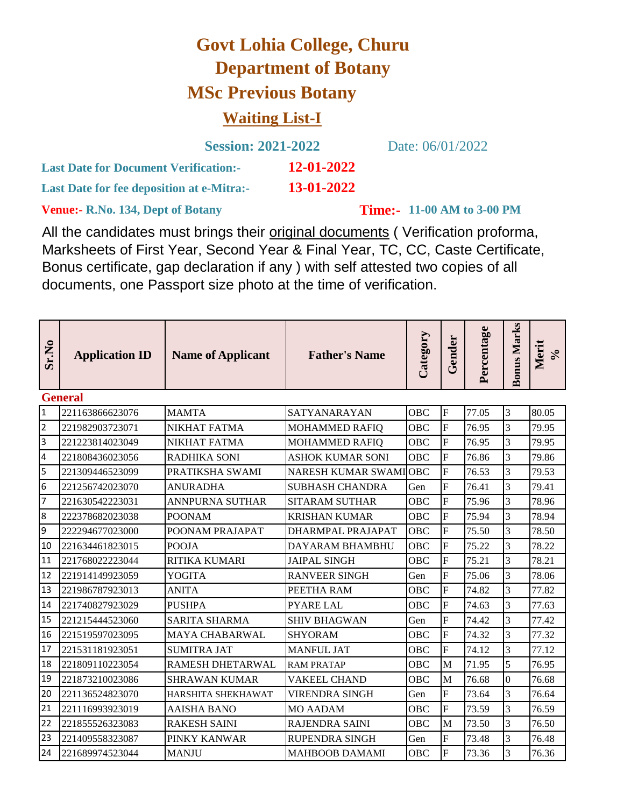## **Govt Lohia College, Churu Department of Botany MSc Previous Botany Waiting List-I**

|                                                  | <b>Session: 2021-2022</b> |
|--------------------------------------------------|---------------------------|
| <b>Last Date for Document Verification:-</b>     | 12-01-2022                |
| <b>Last Date for fee deposition at e-Mitra:-</b> | 13-01-2022                |

Date: 06/01/2022

**Venue:- R.No. 134, Dept of Botany** 

**Time:-** 11-00 AM to 3-00 PM

All the candidates must brings their original documents ( Verification proforma, Marksheets of First Year, Second Year & Final Year, TC, CC, Caste Certificate, Bonus certificate, gap declaration if any ) with self attested two copies of all documents, one Passport size photo at the time of verification.

| Sr.No          | <b>Application ID</b> | <b>Name of Applicant</b> | <b>Father's Name</b>    | Category   | Gender         | Percentage | <b>Bonus Marks</b> | Merit<br>$\mathcal{S}_{\mathbf{0}}$ |
|----------------|-----------------------|--------------------------|-------------------------|------------|----------------|------------|--------------------|-------------------------------------|
|                | <b>General</b>        |                          |                         |            |                |            |                    |                                     |
| $\overline{1}$ | 221163866623076       | <b>MAMTA</b>             | SATYANARAYAN            | OBC        | $\overline{F}$ | 77.05      | 3                  | 80.05                               |
| $\overline{2}$ | 221982903723071       | NIKHAT FATMA             | MOHAMMED RAFIQ          | <b>OBC</b> | $\overline{F}$ | 76.95      | $\overline{3}$     | 79.95                               |
| $\overline{3}$ | 221223814023049       | NIKHAT FATMA             | <b>MOHAMMED RAFIQ</b>   | OBC        | F              | 76.95      | 3                  | 79.95                               |
| $\overline{4}$ | 221808436023056       | <b>RADHIKA SONI</b>      | <b>ASHOK KUMAR SONI</b> | <b>OBC</b> | F              | 76.86      | $\overline{3}$     | 79.86                               |
| 5              | 221309446523099       | PRATIKSHA SWAMI          | NARESH KUMAR SWAMIOBC   |            | F              | 76.53      | 3                  | 79.53                               |
| 6              | 221256742023070       | <b>ANURADHA</b>          | <b>SUBHASH CHANDRA</b>  | Gen        | F              | 76.41      | 3                  | 79.41                               |
| $\overline{7}$ | 221630542223031       | ANNPURNA SUTHAR          | <b>SITARAM SUTHAR</b>   | OBC        | F              | 75.96      | 3                  | 78.96                               |
| 8              | 222378682023038       | <b>POONAM</b>            | <b>KRISHAN KUMAR</b>    | OBC        | F              | 75.94      | 3                  | 78.94                               |
| 9              | 222294677023000       | POONAM PRAJAPAT          | DHARMPAL PRAJAPAT       | OBC        | F              | 75.50      | 3                  | 78.50                               |
| 10             | 221634461823015       | <b>POOJA</b>             | <b>DAYARAM BHAMBHU</b>  | <b>OBC</b> | F              | 75.22      | $\overline{3}$     | 78.22                               |
| 11             | 221768022223044       | <b>RITIKA KUMARI</b>     | <b>JAIPAL SINGH</b>     | <b>OBC</b> | F              | 75.21      | $\overline{3}$     | 78.21                               |
| 12             | 221914149923059       | <b>YOGITA</b>            | <b>RANVEER SINGH</b>    | Gen        | F              | 75.06      | 3                  | 78.06                               |
| 13             | 221986787923013       | <b>ANITA</b>             | PEETHA RAM              | OBC        | F              | 74.82      | $\overline{3}$     | 77.82                               |
| 14             | 221740827923029       | <b>PUSHPA</b>            | <b>PYARE LAL</b>        | OBC        | $\overline{F}$ | 74.63      | 3                  | 77.63                               |
| 15             | 221215444523060       | <b>SARITA SHARMA</b>     | <b>SHIV BHAGWAN</b>     | Gen        | F              | 74.42      | $\overline{3}$     | 77.42                               |
| 16             | 221519597023095       | <b>MAYA CHABARWAL</b>    | <b>SHYORAM</b>          | OBC        | F              | 74.32      | 3                  | 77.32                               |
| 17             | 221531181923051       | <b>SUMITRA JAT</b>       | <b>MANFUL JAT</b>       | OBC        | $\overline{F}$ | 74.12      | 3                  | 77.12                               |
| 18             | 221809110223054       | RAMESH DHETARWAL         | <b>RAM PRATAP</b>       | <b>OBC</b> | M              | 71.95      | 5                  | 76.95                               |
| 19             | 221873210023086       | <b>SHRAWAN KUMAR</b>     | <b>VAKEEL CHAND</b>     | <b>OBC</b> | M              | 76.68      | $\theta$           | 76.68                               |
| 20             | 221136524823070       | HARSHITA SHEKHAWAT       | VIRENDRA SINGH          | Gen        | F              | 73.64      | 3                  | 76.64                               |
| 21             | 221116993923019       | <b>AAISHA BANO</b>       | <b>MO AADAM</b>         | OBC        | $\overline{F}$ | 73.59      | 3                  | 76.59                               |
| 22             | 221855526323083       | <b>RAKESH SAINI</b>      | <b>RAJENDRA SAINI</b>   | OBC        | M              | 73.50      | 3                  | 76.50                               |
| 23             | 221409558323087       | PINKY KANWAR             | <b>RUPENDRA SINGH</b>   | Gen        | $\overline{F}$ | 73.48      | 3                  | 76.48                               |
| 24             | 221689974523044       | <b>MANJU</b>             | <b>MAHBOOB DAMAMI</b>   | OBC        | F              | 73.36      | 3                  | 76.36                               |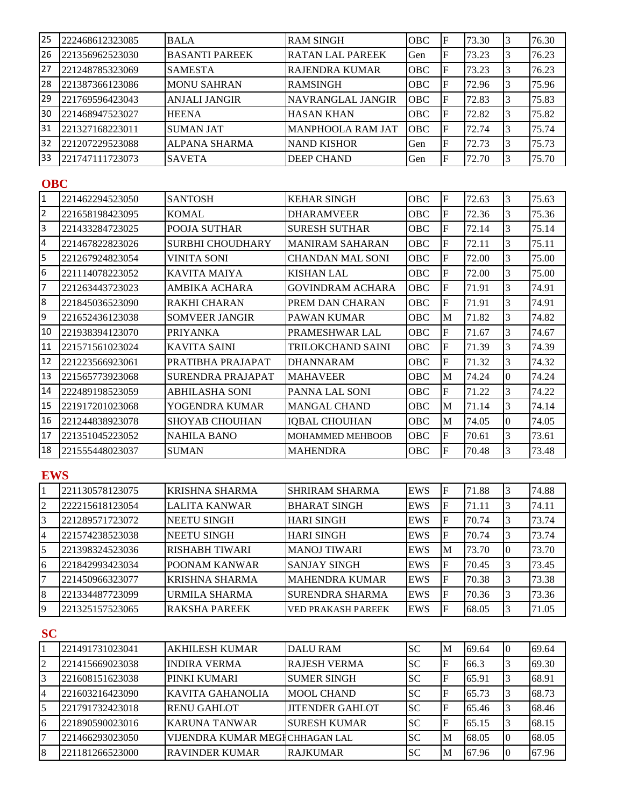| 25  | 222468612323085 | <b>BALA</b>           | <b>RAM SINGH</b>         | <b>OBC</b> | ΙF | 73.30 | 76.30 |
|-----|-----------------|-----------------------|--------------------------|------------|----|-------|-------|
| 26  | 221356962523030 | <b>BASANTI PAREEK</b> | RATAN LAL PAREEK         | Gen        | .F | 73.23 | 76.23 |
| 27  | 221248785323069 | <b>SAMESTA</b>        | RAJENDRA KUMAR           | <b>OBC</b> | ιF | 73.23 | 76.23 |
| 28  | 221387366123086 | <b>MONU SAHRAN</b>    | <b>RAMSINGH</b>          | <b>OBC</b> | ιF | 72.96 | 75.96 |
| 29  | 221769596423043 | <b>ANJALI JANGIR</b>  | NAVRANGLAL JANGIR        | <b>OBC</b> | ıF | 72.83 | 75.83 |
| 30  | 221468947523027 | <b>HEENA</b>          | <b>HASAN KHAN</b>        | <b>OBC</b> | ıF | 72.82 | 75.82 |
| 31  | 221327168223011 | <b>SUMAN JAT</b>      | <b>MANPHOOLA RAM JAT</b> | <b>OBC</b> | ıF | 72.74 | 75.74 |
| 132 | 221207229523088 | ALPANA SHARMA         | <b>NAND KISHOR</b>       | Gen        | .F | 72.73 | 75.73 |
| 33  | 221747111723073 | <b>SAVETA</b>         | DEEP CHAND               | Gen        | F  | 72.70 | 75.70 |

## **OBC**

| $\overline{1}$ | 221462294523050 | <b>SANTOSH</b>           | <b>KEHAR SINGH</b>      | OBC        | F            | 72.63 | 3         | 75.63 |
|----------------|-----------------|--------------------------|-------------------------|------------|--------------|-------|-----------|-------|
| $\overline{2}$ | 221658198423095 | <b>KOMAL</b>             | <b>DHARAMVEER</b>       | <b>OBC</b> | F            | 72.36 | 3         | 75.36 |
| 3              | 221433284723025 | POOJA SUTHAR             | <b>SURESH SUTHAR</b>    | <b>OBC</b> | F            | 72.14 | 3         | 75.14 |
| $\overline{4}$ | 221467822823026 | <b>SURBHI CHOUDHARY</b>  | <b>MANIRAM SAHARAN</b>  | OBC        | $\mathbf{F}$ | 72.11 | $\vert$ 3 | 75.11 |
| 5              | 221267924823054 | <b>VINITA SONI</b>       | <b>CHANDAN MAL SONI</b> | OBC        | F            | 72.00 | 3         | 75.00 |
| 6              | 221114078223052 | KAVITA MAIYA             | <b>KISHAN LAL</b>       | OBC        | F            | 72.00 | 3         | 75.00 |
| $\overline{7}$ | 221263443723023 | AMBIKA ACHARA            | <b>GOVINDRAM ACHARA</b> | OBC        | F            | 71.91 | 3         | 74.91 |
| 8              | 221845036523090 | <b>RAKHI CHARAN</b>      | PREM DAN CHARAN         | OBC        | F            | 71.91 | 3         | 74.91 |
| 9              | 221652436123038 | <b>SOMVEER JANGIR</b>    | <b>PAWAN KUMAR</b>      | OBC        | M            | 71.82 | 3         | 74.82 |
| 10             | 221938394123070 | <b>PRIYANKA</b>          | PRAMESHWAR LAL          | <b>OBC</b> | F            | 71.67 | 3         | 74.67 |
| 11             | 221571561023024 | <b>KAVITA SAINI</b>      | TRILOKCHAND SAINI       | <b>OBC</b> | F            | 71.39 | 3         | 74.39 |
| 12             | 221223566923061 | PRATIBHA PRAJAPAT        | <b>DHANNARAM</b>        | <b>OBC</b> | F            | 71.32 | 3         | 74.32 |
| 13             | 221565773923068 | <b>SURENDRA PRAJAPAT</b> | <b>MAHAVEER</b>         | <b>OBC</b> | M            | 74.24 | Ю         | 74.24 |
| 14             | 222489198523059 | <b>ABHILASHA SONI</b>    | PANNA LAL SONI          | OBC        | F            | 71.22 | 3         | 74.22 |
| 15             | 221917201023068 | YOGENDRA KUMAR           | <b>MANGAL CHAND</b>     | OBC        | M            | 71.14 | 3         | 74.14 |
| 16             | 221244838923078 | <b>SHOYAB CHOUHAN</b>    | <b>IQBAL CHOUHAN</b>    | OBC        | M            | 74.05 | 0         | 74.05 |
| 17             | 221351045223052 | <b>NAHILA BANO</b>       | <b>MOHAMMED MEHBOOB</b> | <b>OBC</b> | F            | 70.61 | 3         | 73.61 |
| 18             | 221555448023037 | <b>SUMAN</b>             | <b>MAHENDRA</b>         | OBC        | F            | 70.48 | 3         | 73.48 |

## **EWS**

|    | 221130578123075 | KRISHNA SHARMA        | SHRIRAM SHARMA            | <b>EWS</b> | F  | 71.88 | 74.88 |
|----|-----------------|-----------------------|---------------------------|------------|----|-------|-------|
| 2  | 222215618123054 | <b>LALITA KANWAR</b>  | <b>BHARAT SINGH</b>       | EWS        | F  | 71.11 | 74.11 |
|    | 221289571723072 | <b>NEETU SINGH</b>    | <b>HARI SINGH</b>         | <b>EWS</b> | F  | 70.74 | 73.74 |
| 4  | 221574238523038 | <b>NEETU SINGH</b>    | <b>HARI SINGH</b>         | <b>EWS</b> | F  | 70.74 | 73.74 |
|    | 221398324523036 | <b>RISHABH TIWARI</b> | <b>MANOJ TIWARI</b>       | <b>EWS</b> | M  | 73.70 | 73.70 |
| 6  | 221842993423034 | <b>POONAM KANWAR</b>  | <b>SANJAY SINGH</b>       | <b>EWS</b> | F  | 70.45 | 73.45 |
|    | 221450966323077 | <b>KRISHNA SHARMA</b> | <b>IMAHENDRA KUMAR</b>    | <b>EWS</b> | ΙF | 70.38 | 73.38 |
| 8  | 221334487723099 | URMILA SHARMA         | SURENDRA SHARMA           | <b>EWS</b> | F  | 70.36 | 73.36 |
| 19 | 221325157523065 | <b>RAKSHA PAREEK</b>  | <b>VED PRAKASH PAREEK</b> | EWS        | F  | 68.05 | 71.05 |

**SC**

|    | 221491731023041 | <b>AKHILESH KUMAR</b>          | <b>DALU RAM</b>        | <b>SC</b> | ١M | 69.64 | 10 | 69.64 |
|----|-----------------|--------------------------------|------------------------|-----------|----|-------|----|-------|
| 2  | 221415669023038 | <b>INDIRA VERMA</b>            | IRAJESH VERMA          | <b>SC</b> | F  | 66.3  |    | 69.30 |
|    | 221608151623038 | PINKI KUMARI                   | <b>SUMER SINGH</b>     | <b>SC</b> | F  | 65.91 |    | 68.91 |
| 14 | 221603216423090 | IKAVITA GAHANOLIA              | <b>IMOOL CHAND</b>     | <b>SC</b> | F  | 65.73 |    | 68.73 |
|    | 221791732423018 | <b>RENU GAHLOT</b>             | <b>JITENDER GAHLOT</b> | <b>SC</b> | F  | 65.46 |    | 68.46 |
| l6 | 221890590023016 | <b>KARUNA TANWAR</b>           | <b>SURESH KUMAR</b>    | <b>SC</b> | F  | 65.15 |    | 68.15 |
|    | 221466293023050 | VIJENDRA KUMAR MEGICHHAGAN LAL |                        | <b>SC</b> | M  | 68.05 |    | 68.05 |
| 18 | 221181266523000 | <b>RAVINDER KUMAR</b>          | <b>RAJKUMAR</b>        | <b>SC</b> | M  | 67.96 |    | 67.96 |